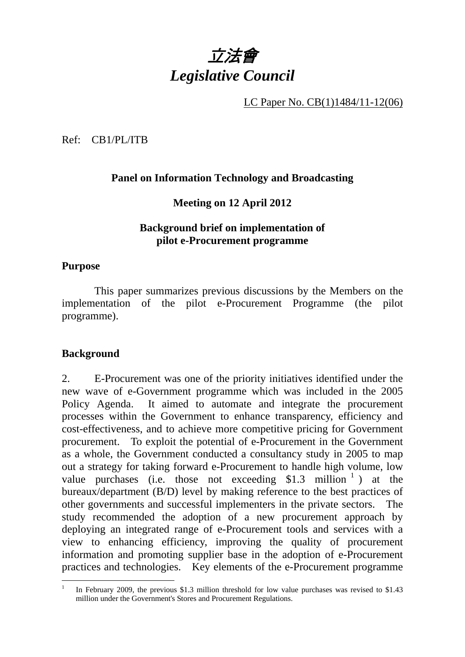

LC Paper No. CB(1)1484/11-12(06)

Ref: CB1/PL/ITB

### **Panel on Information Technology and Broadcasting**

**Meeting on 12 April 2012** 

### **Background brief on implementation of pilot e-Procurement programme**

#### **Purpose**

 This paper summarizes previous discussions by the Members on the implementation of the pilot e-Procurement Programme (the pilot programme).

### **Background**

 $\overline{a}$ 

2. E-Procurement was one of the priority initiatives identified under the new wave of e-Government programme which was included in the 2005 Policy Agenda. It aimed to automate and integrate the procurement processes within the Government to enhance transparency, efficiency and cost-effectiveness, and to achieve more competitive pricing for Government procurement. To exploit the potential of e-Procurement in the Government as a whole, the Government conducted a consultancy study in 2005 to map out a strategy for taking forward e-Procurement to handle high volume, low value purchases (i.e. those not exceeding  $$1.3$  million<sup>1</sup>) at the bureaux/department (B/D) level by making reference to the best practices of other governments and successful implementers in the private sectors. The study recommended the adoption of a new procurement approach by deploying an integrated range of e-Procurement tools and services with a view to enhancing efficiency, improving the quality of procurement information and promoting supplier base in the adoption of e-Procurement practices and technologies. Key elements of the e-Procurement programme

<sup>1</sup> In February 2009, the previous \$1.3 million threshold for low value purchases was revised to \$1.43 million under the Government's Stores and Procurement Regulations.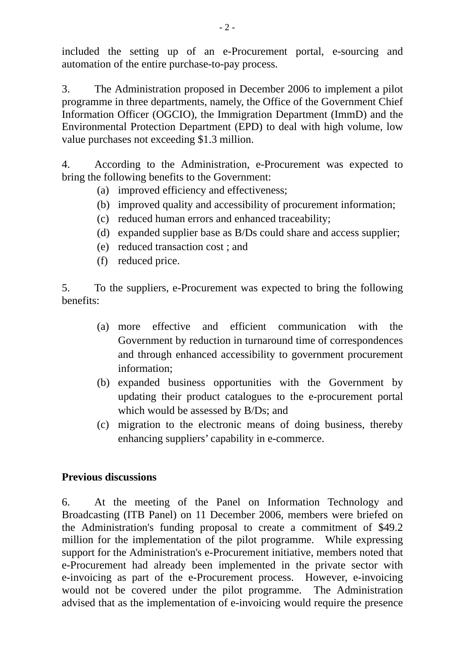included the setting up of an e-Procurement portal, e-sourcing and automation of the entire purchase-to-pay process.

3. The Administration proposed in December 2006 to implement a pilot programme in three departments, namely, the Office of the Government Chief Information Officer (OGCIO), the Immigration Department (ImmD) and the Environmental Protection Department (EPD) to deal with high volume, low value purchases not exceeding \$1.3 million.

4. According to the Administration, e-Procurement was expected to bring the following benefits to the Government:

- (a) improved efficiency and effectiveness;
- (b) improved quality and accessibility of procurement information;
- (c) reduced human errors and enhanced traceability;
- (d) expanded supplier base as B/Ds could share and access supplier;
- (e) reduced transaction cost ; and
- (f) reduced price.

5. To the suppliers, e-Procurement was expected to bring the following benefits:

- (a) more effective and efficient communication with the Government by reduction in turnaround time of correspondences and through enhanced accessibility to government procurement information;
- (b) expanded business opportunities with the Government by updating their product catalogues to the e-procurement portal which would be assessed by B/Ds; and
- (c) migration to the electronic means of doing business, thereby enhancing suppliers' capability in e-commerce.

# **Previous discussions**

6. At the meeting of the Panel on Information Technology and Broadcasting (ITB Panel) on 11 December 2006, members were briefed on the Administration's funding proposal to create a commitment of \$49.2 million for the implementation of the pilot programme. While expressing support for the Administration's e-Procurement initiative, members noted that e-Procurement had already been implemented in the private sector with e-invoicing as part of the e-Procurement process. However, e-invoicing would not be covered under the pilot programme. The Administration advised that as the implementation of e-invoicing would require the presence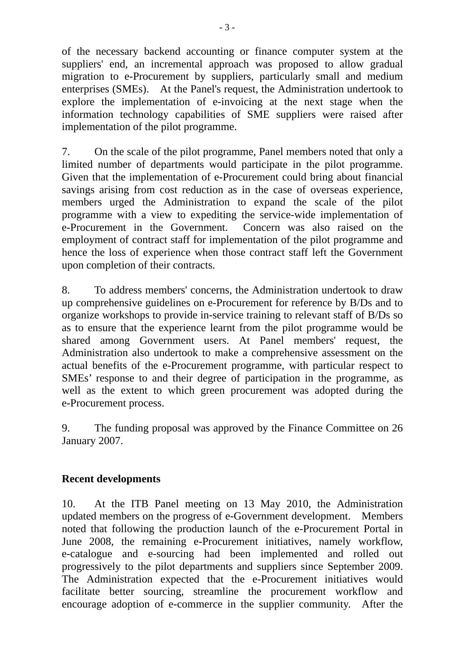of the necessary backend accounting or finance computer system at the suppliers' end, an incremental approach was proposed to allow gradual migration to e-Procurement by suppliers, particularly small and medium enterprises (SMEs). At the Panel's request, the Administration undertook to explore the implementation of e-invoicing at the next stage when the information technology capabilities of SME suppliers were raised after implementation of the pilot programme.

7. On the scale of the pilot programme, Panel members noted that only a limited number of departments would participate in the pilot programme. Given that the implementation of e-Procurement could bring about financial savings arising from cost reduction as in the case of overseas experience, members urged the Administration to expand the scale of the pilot programme with a view to expediting the service-wide implementation of e-Procurement in the Government. Concern was also raised on the employment of contract staff for implementation of the pilot programme and hence the loss of experience when those contract staff left the Government upon completion of their contracts.

8. To address members' concerns, the Administration undertook to draw up comprehensive guidelines on e-Procurement for reference by B/Ds and to organize workshops to provide in-service training to relevant staff of B/Ds so as to ensure that the experience learnt from the pilot programme would be shared among Government users. At Panel members' request, the Administration also undertook to make a comprehensive assessment on the actual benefits of the e-Procurement programme, with particular respect to SMEs' response to and their degree of participation in the programme, as well as the extent to which green procurement was adopted during the e-Procurement process.

9. The funding proposal was approved by the Finance Committee on 26 January 2007.

# **Recent developments**

10. At the ITB Panel meeting on 13 May 2010, the Administration updated members on the progress of e-Government development. Members noted that following the production launch of the e-Procurement Portal in June 2008, the remaining e-Procurement initiatives, namely workflow, e-catalogue and e-sourcing had been implemented and rolled out progressively to the pilot departments and suppliers since September 2009. The Administration expected that the e-Procurement initiatives would facilitate better sourcing, streamline the procurement workflow and encourage adoption of e-commerce in the supplier community. After the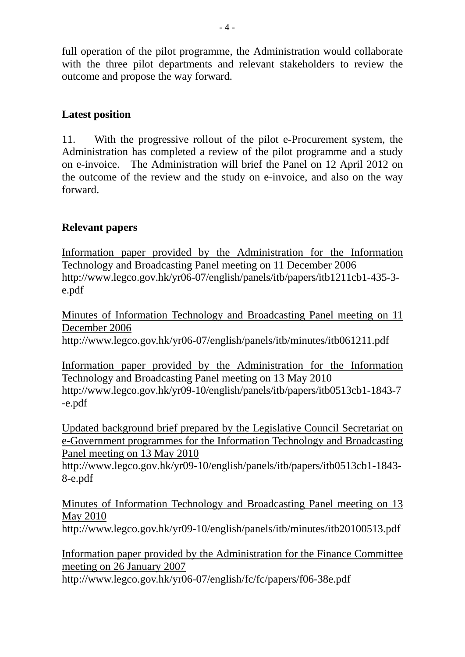full operation of the pilot programme, the Administration would collaborate with the three pilot departments and relevant stakeholders to review the outcome and propose the way forward.

# **Latest position**

11. With the progressive rollout of the pilot e-Procurement system, the Administration has completed a review of the pilot programme and a study on e-invoice. The Administration will brief the Panel on 12 April 2012 on the outcome of the review and the study on e-invoice, and also on the way forward.

## **Relevant papers**

Information paper provided by the Administration for the Information Technology and Broadcasting Panel meeting on 11 December 2006 http://www.legco.gov.hk/yr06-07/english/panels/itb/papers/itb1211cb1-435-3 e.pdf

Minutes of Information Technology and Broadcasting Panel meeting on 11 December 2006

http://www.legco.gov.hk/yr06-07/english/panels/itb/minutes/itb061211.pdf

Information paper provided by the Administration for the Information Technology and Broadcasting Panel meeting on 13 May 2010 http://www.legco.gov.hk/yr09-10/english/panels/itb/papers/itb0513cb1-1843-7 -e.pdf

Updated background brief prepared by the Legislative Council Secretariat on e-Government programmes for the Information Technology and Broadcasting Panel meeting on 13 May 2010

http://www.legco.gov.hk/yr09-10/english/panels/itb/papers/itb0513cb1-1843- 8-e.pdf

Minutes of Information Technology and Broadcasting Panel meeting on 13 May 2010

http://www.legco.gov.hk/yr09-10/english/panels/itb/minutes/itb20100513.pdf

Information paper provided by the Administration for the Finance Committee meeting on 26 January 2007

http://www.legco.gov.hk/yr06-07/english/fc/fc/papers/f06-38e.pdf